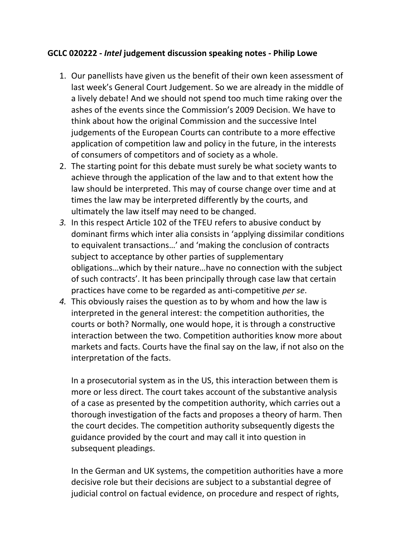## **GCLC 020222 ‐** *Intel* **judgement discussion speaking notes ‐ Philip Lowe**

- 1. Our panellists have given us the benefit of their own keen assessment of last week's General Court Judgement. So we are already in the middle of a lively debate! And we should not spend too much time raking over the ashes of the events since the Commission's 2009 Decision. We have to think about how the original Commission and the successive Intel judgements of the European Courts can contribute to a more effective application of competition law and policy in the future, in the interests of consumers of competitors and of society as a whole.
- 2. The starting point for this debate must surely be what society wants to achieve through the application of the law and to that extent how the law should be interpreted. This may of course change over time and at times the law may be interpreted differently by the courts, and ultimately the law itself may need to be changed.
- *3.* In this respect Article 102 of the TFEU refers to abusive conduct by dominant firms which inter alia consists in 'applying dissimilar conditions to equivalent transactions…' and 'making the conclusion of contracts subject to acceptance by other parties of supplementary obligations…which by their nature…have no connection with the subject of such contracts'. It has been principally through case law that certain practices have come to be regarded as anti‐competitive *per se*.
- *4.* This obviously raises the question as to by whom and how the law is interpreted in the general interest: the competition authorities, the courts or both? Normally, one would hope, it is through a constructive interaction between the two. Competition authorities know more about markets and facts. Courts have the final say on the law, if not also on the interpretation of the facts.

In a prosecutorial system as in the US, this interaction between them is more or less direct. The court takes account of the substantive analysis of a case as presented by the competition authority, which carries out a thorough investigation of the facts and proposes a theory of harm. Then the court decides. The competition authority subsequently digests the guidance provided by the court and may call it into question in subsequent pleadings.

In the German and UK systems, the competition authorities have a more decisive role but their decisions are subject to a substantial degree of judicial control on factual evidence, on procedure and respect of rights,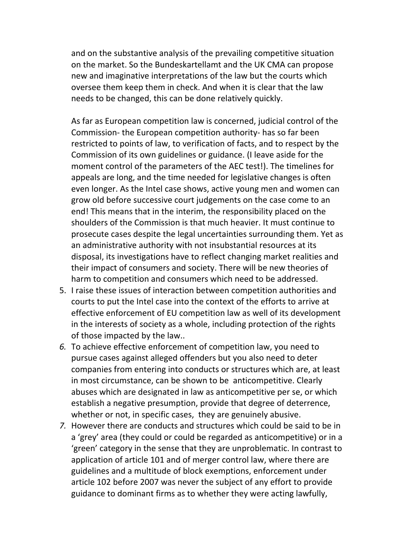and on the substantive analysis of the prevailing competitive situation on the market. So the Bundeskartellamt and the UK CMA can propose new and imaginative interpretations of the law but the courts which oversee them keep them in check. And when it is clear that the law needs to be changed, this can be done relatively quickly.

As far as European competition law is concerned, judicial control of the Commission‐ the European competition authority‐ has so far been restricted to points of law, to verification of facts, and to respect by the Commission of its own guidelines or guidance. (I leave aside for the moment control of the parameters of the AEC test!). The timelines for appeals are long, and the time needed for legislative changes is often even longer. As the Intel case shows, active young men and women can grow old before successive court judgements on the case come to an end! This means that in the interim, the responsibility placed on the shoulders of the Commission is that much heavier. It must continue to prosecute cases despite the legal uncertainties surrounding them. Yet as an administrative authority with not insubstantial resources at its disposal, its investigations have to reflect changing market realities and their impact of consumers and society. There will be new theories of harm to competition and consumers which need to be addressed.

- 5. I raise these issues of interaction between competition authorities and courts to put the Intel case into the context of the efforts to arrive at effective enforcement of EU competition law as well of its development in the interests of society as a whole, including protection of the rights of those impacted by the law..
- *6.* To achieve effective enforcement of competition law, you need to pursue cases against alleged offenders but you also need to deter companies from entering into conducts or structures which are, at least in most circumstance, can be shown to be anticompetitive. Clearly abuses which are designated in law as anticompetitive per se, or which establish a negative presumption, provide that degree of deterrence, whether or not, in specific cases, they are genuinely abusive.
- *7.* However there are conducts and structures which could be said to be in a 'grey' area (they could or could be regarded as anticompetitive) or in a 'green' category in the sense that they are unproblematic. In contrast to application of article 101 and of merger control law, where there are guidelines and a multitude of block exemptions, enforcement under article 102 before 2007 was never the subject of any effort to provide guidance to dominant firms as to whether they were acting lawfully,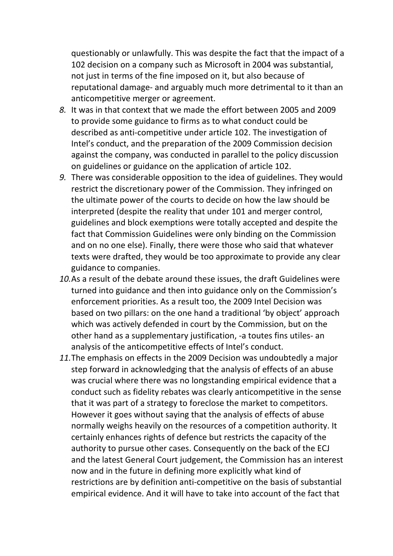questionably or unlawfully. This was despite the fact that the impact of a 102 decision on a company such as Microsoft in 2004 was substantial, not just in terms of the fine imposed on it, but also because of reputational damage‐ and arguably much more detrimental to it than an anticompetitive merger or agreement.

- *8.* It was in that context that we made the effort between 2005 and 2009 to provide some guidance to firms as to what conduct could be described as anti‐competitive under article 102. The investigation of Intel's conduct, and the preparation of the 2009 Commission decision against the company, was conducted in parallel to the policy discussion on guidelines or guidance on the application of article 102.
- *9.* There was considerable opposition to the idea of guidelines. They would restrict the discretionary power of the Commission. They infringed on the ultimate power of the courts to decide on how the law should be interpreted (despite the reality that under 101 and merger control, guidelines and block exemptions were totally accepted and despite the fact that Commission Guidelines were only binding on the Commission and on no one else). Finally, there were those who said that whatever texts were drafted, they would be too approximate to provide any clear guidance to companies.
- *10.*As a result of the debate around these issues, the draft Guidelines were turned into guidance and then into guidance only on the Commission's enforcement priorities. As a result too, the 2009 Intel Decision was based on two pillars: on the one hand a traditional 'by object' approach which was actively defended in court by the Commission, but on the other hand as a supplementary justification, ‐a toutes fins utiles‐ an analysis of the anticompetitive effects of Intel's conduct.
- *11.*The emphasis on effects in the 2009 Decision was undoubtedly a major step forward in acknowledging that the analysis of effects of an abuse was crucial where there was no longstanding empirical evidence that a conduct such as fidelity rebates was clearly anticompetitive in the sense that it was part of a strategy to foreclose the market to competitors. However it goes without saying that the analysis of effects of abuse normally weighs heavily on the resources of a competition authority. It certainly enhances rights of defence but restricts the capacity of the authority to pursue other cases. Consequently on the back of the ECJ and the latest General Court judgement, the Commission has an interest now and in the future in defining more explicitly what kind of restrictions are by definition anti‐competitive on the basis of substantial empirical evidence. And it will have to take into account of the fact that